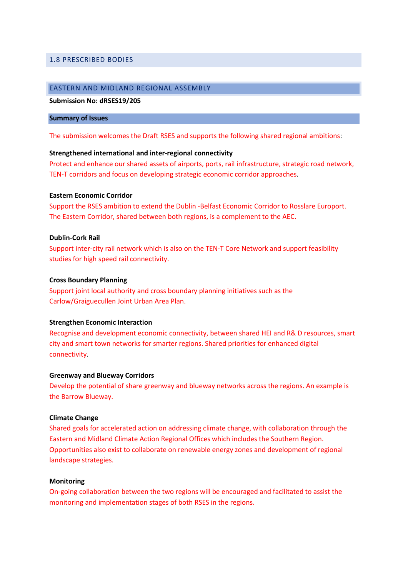### 1.8 PRESCRIBED BODIES

# EASTERN AND MIDLAND REGIONAL ASSEMBLY

### Submission No: dRSES19/205

#### Summary of Issues

The submission welcomes the Draft RSES and supports the following shared regional ambitions:

#### Strengthened international and inter-regional connectivity

Protect and enhance our shared assets of airports, ports, rail infrastructure, strategic road network, TEN-T corridors and focus on developing strategic economic corridor approaches.

#### Eastern Economic Corridor

Support the RSES ambition to extend the Dublin -Belfast Economic Corridor to Rosslare Europort. The Eastern Corridor, shared between both regions, is a complement to the AEC.

### Dublin-Cork Rail

Support inter-city rail network which is also on the TEN-T Core Network and support feasibility studies for high speed rail connectivity.

### Cross Boundary Planning

Support joint local authority and cross boundary planning initiatives such as the Carlow/Graiguecullen Joint Urban Area Plan.

#### Strengthen Economic Interaction

Recognise and development economic connectivity, between shared HEI and R& D resources, smart city and smart town networks for smarter regions. Shared priorities for enhanced digital connectivity.

#### Greenway and Blueway Corridors

Develop the potential of share greenway and blueway networks across the regions. An example is the Barrow Blueway.

### Climate Change

Shared goals for accelerated action on addressing climate change, with collaboration through the Eastern and Midland Climate Action Regional Offices which includes the Southern Region. Opportunities also exist to collaborate on renewable energy zones and development of regional landscape strategies.

#### Monitoring

On-going collaboration between the two regions will be encouraged and facilitated to assist the monitoring and implementation stages of both RSES in the regions.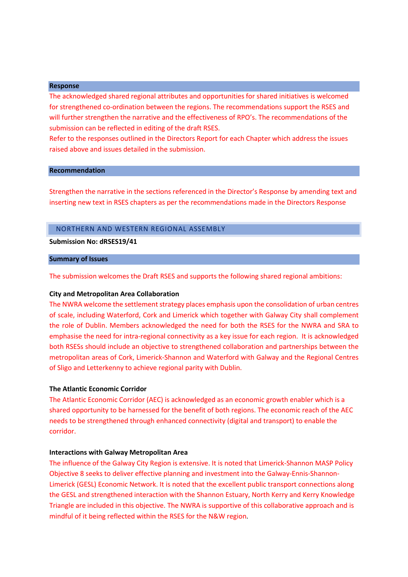#### Response

The acknowledged shared regional attributes and opportunities for shared initiatives is welcomed for strengthened co-ordination between the regions. The recommendations support the RSES and will further strengthen the narrative and the effectiveness of RPO's. The recommendations of the submission can be reflected in editing of the draft RSES.

Refer to the responses outlined in the Directors Report for each Chapter which address the issues raised above and issues detailed in the submission.

### Recommendation

Strengthen the narrative in the sections referenced in the Director's Response by amending text and inserting new text in RSES chapters as per the recommendations made in the Directors Response

# NORTHERN AND WESTERN REGIONAL ASSEMBLY

#### Submission No: dRSES19/41

### Summary of Issues

The submission welcomes the Draft RSES and supports the following shared regional ambitions:

#### City and Metropolitan Area Collaboration

The NWRA welcome the settlement strategy places emphasis upon the consolidation of urban centres of scale, including Waterford, Cork and Limerick which together with Galway City shall complement the role of Dublin. Members acknowledged the need for both the RSES for the NWRA and SRA to emphasise the need for intra-regional connectivity as a key issue for each region. It is acknowledged both RSESs should include an objective to strengthened collaboration and partnerships between the metropolitan areas of Cork, Limerick-Shannon and Waterford with Galway and the Regional Centres of Sligo and Letterkenny to achieve regional parity with Dublin.

## The Atlantic Economic Corridor

The Atlantic Economic Corridor (AEC) is acknowledged as an economic growth enabler which is a shared opportunity to be harnessed for the benefit of both regions. The economic reach of the AEC needs to be strengthened through enhanced connectivity (digital and transport) to enable the corridor.

### Interactions with Galway Metropolitan Area

The influence of the Galway City Region is extensive. It is noted that Limerick-Shannon MASP Policy Objective 8 seeks to deliver effective planning and investment into the Galway-Ennis-Shannon-Limerick (GESL) Economic Network. It is noted that the excellent public transport connections along the GESL and strengthened interaction with the Shannon Estuary, North Kerry and Kerry Knowledge Triangle are included in this objective. The NWRA is supportive of this collaborative approach and is mindful of it being reflected within the RSES for the N&W region.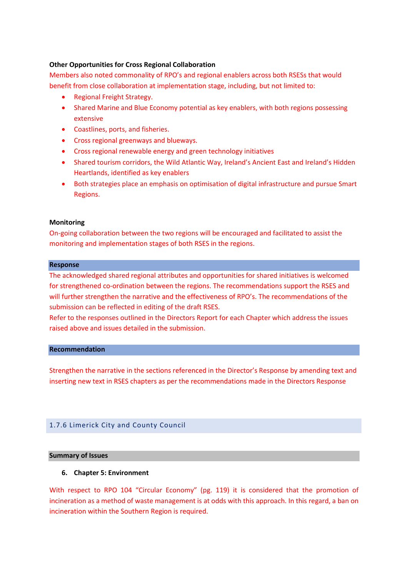## Other Opportunities for Cross Regional Collaboration

Members also noted commonality of RPO's and regional enablers across both RSESs that would benefit from close collaboration at implementation stage, including, but not limited to:

- Regional Freight Strategy.
- Shared Marine and Blue Economy potential as key enablers, with both regions possessing extensive
- Coastlines, ports, and fisheries.
- Cross regional greenways and blueways.
- Cross regional renewable energy and green technology initiatives
- Shared tourism corridors, the Wild Atlantic Way, Ireland's Ancient East and Ireland's Hidden Heartlands, identified as key enablers
- Both strategies place an emphasis on optimisation of digital infrastructure and pursue Smart Regions.

# Monitoring

On-going collaboration between the two regions will be encouraged and facilitated to assist the monitoring and implementation stages of both RSES in the regions.

## Response

The acknowledged shared regional attributes and opportunities for shared initiatives is welcomed for strengthened co-ordination between the regions. The recommendations support the RSES and will further strengthen the narrative and the effectiveness of RPO's. The recommendations of the submission can be reflected in editing of the draft RSES.

Refer to the responses outlined in the Directors Report for each Chapter which address the issues raised above and issues detailed in the submission.

## Recommendation

Strengthen the narrative in the sections referenced in the Director's Response by amending text and inserting new text in RSES chapters as per the recommendations made in the Directors Response

# 1.7.6 Limerick City and County Council

## Summary of Issues

# 6. Chapter 5: Environment

With respect to RPO 104 "Circular Economy" (pg. 119) it is considered that the promotion of incineration as a method of waste management is at odds with this approach. In this regard, a ban on incineration within the Southern Region is required.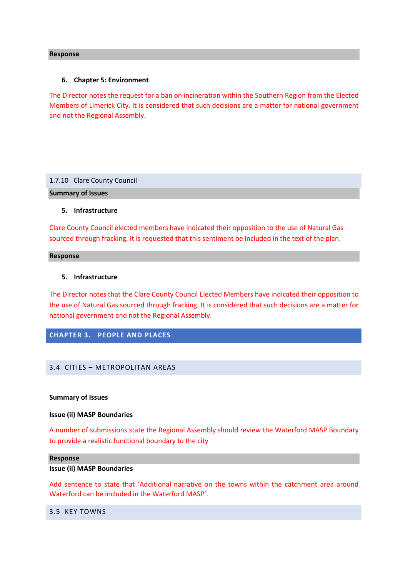#### Response

#### 6. Chapter 5: Environment

The Director notes the request for a ban on incineration within the Southern Region from the Elected Members of Limerick City. It is considered that such decisions are a matter for national government and not the Regional Assembly.

### 1.7.10 Clare County Council

Summary of Issues

### 5. Infrastructure

Clare County Council elected members have indicated their opposition to the use of Natural Gas sourced through fracking. It is requested that this sentiment be included in the text of the plan.

### Response

### 5. Infrastructure

The Director notes that the Clare County Council Elected Members have indicated their opposition to the use of Natural Gas sourced through fracking. It is considered that such decisions are a matter for national government and not the Regional Assembly.

# CHAPTER 3. PEOPLE AND PLACES

## 3.4 CITIES – METROPOLITAN AREAS

### Summary of Issues

### Issue (ii) MASP Boundaries

A number of submissions state the Regional Assembly should review the Waterford MASP Boundary to provide a realistic functional boundary to the city

#### Response

#### Issue (ii) MASP Boundaries

Add sentence to state that 'Additional narrative on the towns within the catchment area around Waterford can be included in the Waterford MASP'.

### 3.5 KEY TOWNS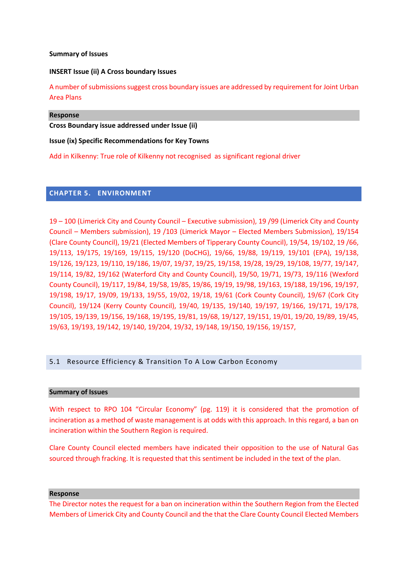### Summary of Issues

### INSERT Issue (ii) A Cross boundary Issues

A number of submissions suggest cross boundary issues are addressed by requirement for Joint Urban Area Plans

### Response

Cross Boundary issue addressed under Issue (ii)

### Issue (ix) Specific Recommendations for Key Towns

Add in Kilkenny: True role of Kilkenny not recognised as significant regional driver

# CHAPTER 5. ENVIRONMENT

19 – 100 (Limerick City and County Council – Executive submission), 19 /99 (Limerick City and County Council – Members submission), 19 /103 (Limerick Mayor – Elected Members Submission), 19/154 (Clare County Council), 19/21 (Elected Members of Tipperary County Council), 19/54, 19/102, 19 /66, 19/113, 19/175, 19/169, 19/115, 19/120 (DoCHG), 19/66, 19/88, 19/119, 19/101 (EPA), 19/138, 19/126, 19/123, 19/110, 19/186, 19/07, 19/37, 19/25, 19/158, 19/28, 19/29, 19/108, 19/77, 19/147, 19/114, 19/82, 19/162 (Waterford City and County Council), 19/50, 19/71, 19/73, 19/116 (Wexford County Council), 19/117, 19/84, 19/58, 19/85, 19/86, 19/19, 19/98, 19/163, 19/188, 19/196, 19/197, 19/198, 19/17, 19/09, 19/133, 19/55, 19/02, 19/18, 19/61 (Cork County Council), 19/67 (Cork City Council), 19/124 (Kerry County Council), 19/40, 19/135, 19/140, 19/197, 19/166, 19/171, 19/178, 19/105, 19/139, 19/156, 19/168, 19/195, 19/81, 19/68, 19/127, 19/151, 19/01, 19/20, 19/89, 19/45, 19/63, 19/193, 19/142, 19/140, 19/204, 19/32, 19/148, 19/150, 19/156, 19/157,

## 5.1 Resource Efficiency & Transition To A Low Carbon Economy

### Summary of Issues

With respect to RPO 104 "Circular Economy" (pg. 119) it is considered that the promotion of incineration as a method of waste management is at odds with this approach. In this regard, a ban on incineration within the Southern Region is required.

Clare County Council elected members have indicated their opposition to the use of Natural Gas sourced through fracking. It is requested that this sentiment be included in the text of the plan.

#### Response

The Director notes the request for a ban on incineration within the Southern Region from the Elected Members of Limerick City and County Council and the that the Clare County Council Elected Members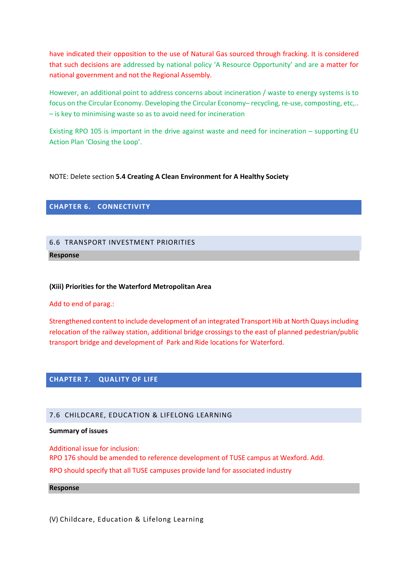have indicated their opposition to the use of Natural Gas sourced through fracking. It is considered that such decisions are addressed by national policy 'A Resource Opportunity' and are a matter for national government and not the Regional Assembly.

However, an additional point to address concerns about incineration / waste to energy systems is to focus on the Circular Economy. Developing the Circular Economy– recycling, re-use, composting, etc,.. – is key to minimising waste so as to avoid need for incineration

Existing RPO 105 is important in the drive against waste and need for incineration – supporting EU Action Plan 'Closing the Loop'.

# NOTE: Delete section 5.4 Creating A Clean Environment for A Healthy Society

# CHAPTER 6. CONNECTIVITY

# 6.6 TRANSPORT INVESTMENT PRIORITIES

### Response

## (Xiii) Priorities for the Waterford Metropolitan Area

Add to end of parag.:

Strengthened content to include development of an integrated Transport Hib at North Quays including relocation of the railway station, additional bridge crossings to the east of planned pedestrian/public transport bridge and development of Park and Ride locations for Waterford.

## CHAPTER 7. QUALITY OF LIFE

### 7.6 CHILDCARE, EDUCATION & LIFELONG LEARNING

### Summary of issues

Additional issue for inclusion: RPO 176 should be amended to reference development of TUSE campus at Wexford. Add. RPO should specify that all TUSE campuses provide land for associated industry

#### Response

(V) Childcare, Education & Lifelong Learning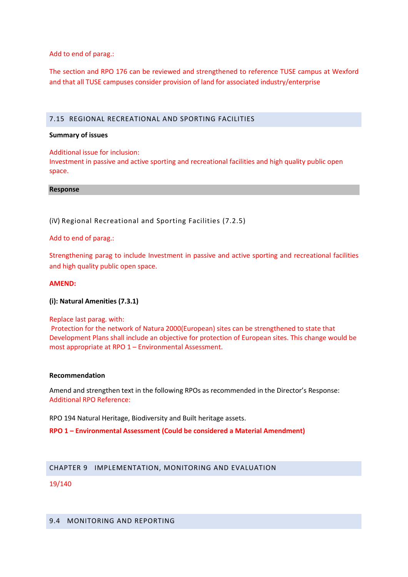Add to end of parag.:

The section and RPO 176 can be reviewed and strengthened to reference TUSE campus at Wexford and that all TUSE campuses consider provision of land for associated industry/enterprise

## 7.15 REGIONAL RECREATIONAL AND SPORTING FACILITIES

### Summary of issues

Additional issue for inclusion:

Investment in passive and active sporting and recreational facilities and high quality public open space.

Response

(iV) Regional Recreational and Sporting Facilities (7.2.5)

Add to end of parag.:

Strengthening parag to include Investment in passive and active sporting and recreational facilities and high quality public open space.

### AMEND:

(i): Natural Amenities (7.3.1)

Replace last parag. with:

Protection for the network of Natura 2000(European) sites can be strengthened to state that Development Plans shall include an objective for protection of European sites. This change would be most appropriate at RPO 1 – Environmental Assessment.

### Recommendation

Amend and strengthen text in the following RPOs as recommended in the Director's Response: Additional RPO Reference:

RPO 194 Natural Heritage, Biodiversity and Built heritage assets.

RPO 1 – Environmental Assessment (Could be considered a Material Amendment)

## CHAPTER 9 IMPLEMENTATION, MONITORING AND EVALUATION

## 19/140

# 9.4 MONITORING AND REPORTING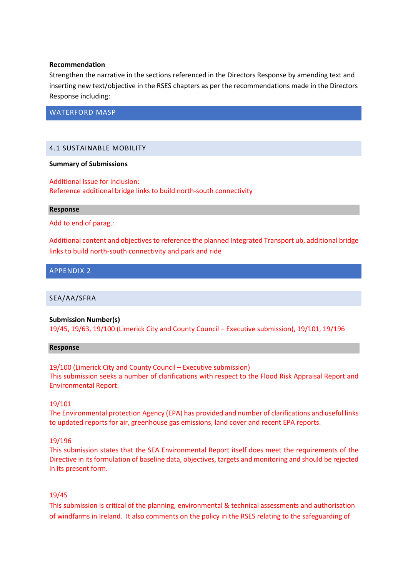### Recommendation

Strengthen the narrative in the sections referenced in the Directors Response by amending text and inserting new text/objective in the RSES chapters as per the recommendations made in the Directors Response including:

WATERFORD MASP

# 4.1 SUSTAINABLE MOBILITY

### Summary of Submissions

Additional issue for inclusion: Reference additional bridge links to build north-south connectivity

### Response

Add to end of parag.:

Additional content and objectives to reference the planned Integrated Transport ub, additional bridge links to build north-south connectivity and park and ride

## APPENDIX 2

SEA/AA/SFRA

## Submission Number(s)

19/45, 19/63, 19/100 (Limerick City and County Council – Executive submission), 19/101, 19/196

### Response

19/100 (Limerick City and County Council – Executive submission) This submission seeks a number of clarifications with respect to the Flood Risk Appraisal Report and Environmental Report.

## 19/101

The Environmental protection Agency (EPA) has provided and number of clarifications and useful links to updated reports for air, greenhouse gas emissions, land cover and recent EPA reports.

## 19/196

This submission states that the SEA Environmental Report itself does meet the requirements of the Directive in its formulation of baseline data, objectives, targets and monitoring and should be rejected in its present form.

## 19/45

This submission is critical of the planning, environmental & technical assessments and authorisation of windfarms in Ireland. It also comments on the policy in the RSES relating to the safeguarding of